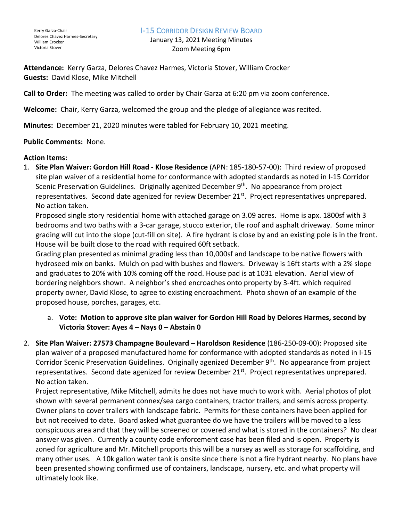## I-15 CORRIDOR DESIGN REVIEW BOARD

January 13, 2021 Meeting Minutes Zoom Meeting 6pm

**Attendance:** Kerry Garza, Delores Chavez Harmes, Victoria Stover, William Crocker **Guests:** David Klose, Mike Mitchell

**Call to Order:** The meeting was called to order by Chair Garza at 6:20 pm via zoom conference.

**Welcome:** Chair, Kerry Garza, welcomed the group and the pledge of allegiance was recited.

**Minutes:** December 21, 2020 minutes were tabled for February 10, 2021 meeting.

## **Public Comments:** None.

## **Action Items:**

1. **Site Plan Waiver: Gordon Hill Road - Klose Residence** (APN: 185-180-57-00): Third review of proposed site plan waiver of a residential home for conformance with adopted standards as noted in I-15 Corridor Scenic Preservation Guidelines. Originally agenized December 9<sup>th</sup>. No appearance from project representatives. Second date agenized for review December 21<sup>st</sup>. Project representatives unprepared. No action taken.

Proposed single story residential home with attached garage on 3.09 acres. Home is apx. 1800sf with 3 bedrooms and two baths with a 3-car garage, stucco exterior, tile roof and asphalt driveway. Some minor grading will cut into the slope (cut-fill on site). A fire hydrant is close by and an existing pole is in the front. House will be built close to the road with required 60ft setback.

Grading plan presented as minimal grading less than 10,000sf and landscape to be native flowers with hydroseed mix on banks. Mulch on pad with bushes and flowers. Driveway is 16ft starts with a 2% slope and graduates to 20% with 10% coming off the road. House pad is at 1031 elevation. Aerial view of bordering neighbors shown. A neighbor's shed encroaches onto property by 3-4ft. which required property owner, David Klose, to agree to existing encroachment. Photo shown of an example of the proposed house, porches, garages, etc.

- a. **Vote: Motion to approve site plan waiver for Gordon Hill Road by Delores Harmes, second by Victoria Stover: Ayes 4 – Nays 0 – Abstain 0**
- 2. **Site Plan Waiver: 27573 Champagne Boulevard – Haroldson Residence** (186-250-09-00): Proposed site plan waiver of a proposed manufactured home for conformance with adopted standards as noted in I-15 Corridor Scenic Preservation Guidelines. Originally agenized December 9<sup>th</sup>. No appearance from project representatives. Second date agenized for review December 21<sup>st</sup>. Project representatives unprepared. No action taken.

Project representative, Mike Mitchell, admits he does not have much to work with. Aerial photos of plot shown with several permanent connex/sea cargo containers, tractor trailers, and semis across property. Owner plans to cover trailers with landscape fabric. Permits for these containers have been applied for but not received to date. Board asked what guarantee do we have the trailers will be moved to a less conspicuous area and that they will be screened or covered and what is stored in the containers? No clear answer was given. Currently a county code enforcement case has been filed and is open. Property is zoned for agriculture and Mr. Mitchell proports this will be a nursey as well as storage for scaffolding, and many other uses. A 10k gallon water tank is onsite since there is not a fire hydrant nearby. No plans have been presented showing confirmed use of containers, landscape, nursery, etc. and what property will ultimately look like.